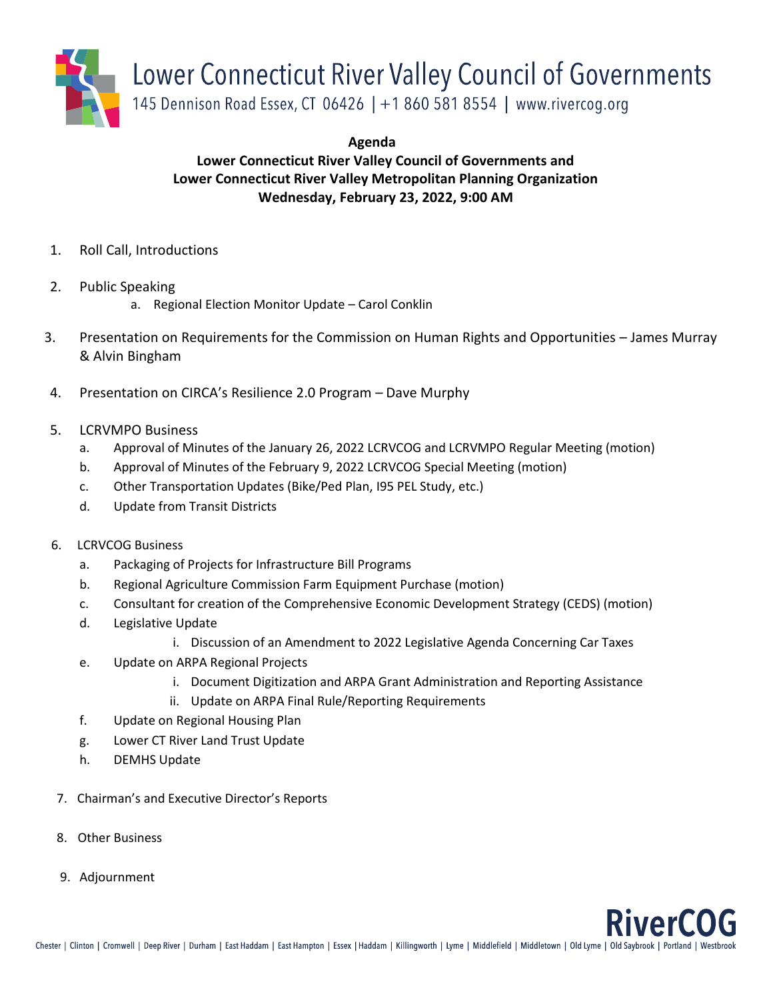

**Agenda**

## **Lower Connecticut River Valley Council of Governments and Lower Connecticut River Valley Metropolitan Planning Organization Wednesday, February 23, 2022, 9:00 AM**

- 1. Roll Call, Introductions
- 2. Public Speaking
	- a. Regional Election Monitor Update Carol Conklin
- 3. Presentation on Requirements for the Commission on Human Rights and Opportunities James Murray & Alvin Bingham
- 4. Presentation on CIRCA's Resilience 2.0 Program Dave Murphy
- 5. LCRVMPO Business
	- a. Approval of Minutes of the January 26, 2022 LCRVCOG and LCRVMPO Regular Meeting (motion)
	- b. Approval of Minutes of the February 9, 2022 LCRVCOG Special Meeting (motion)
	- c. Other Transportation Updates (Bike/Ped Plan, I95 PEL Study, etc.)
	- d. Update from Transit Districts
- 6. LCRVCOG Business
	- a. Packaging of Projects for Infrastructure Bill Programs
	- b. Regional Agriculture Commission Farm Equipment Purchase (motion)
	- c. Consultant for creation of the Comprehensive Economic Development Strategy (CEDS) (motion)
	- d. Legislative Update
		- i. Discussion of an Amendment to 2022 Legislative Agenda Concerning Car Taxes
	- e. Update on ARPA Regional Projects
		- i. Document Digitization and ARPA Grant Administration and Reporting Assistance
		- ii. Update on ARPA Final Rule/Reporting Requirements
	- f. Update on Regional Housing Plan
	- g. Lower CT River Land Trust Update
	- h. DEMHS Update
- 7. Chairman's and Executive Director's Reports
- 8. Other Business
- 9. Adjournment